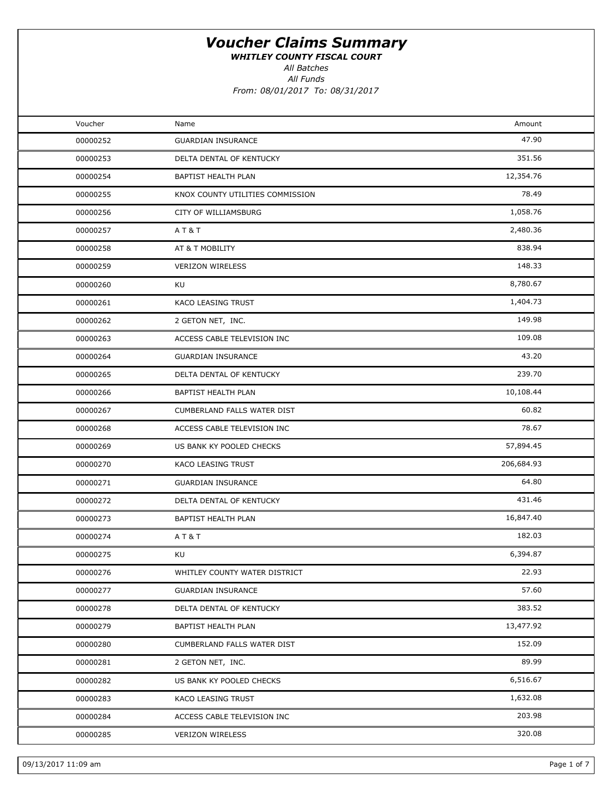WHITLEY COUNTY FISCAL COURT

All Batches

All Funds

| Voucher  | Name                             | Amount     |  |
|----------|----------------------------------|------------|--|
| 00000252 | <b>GUARDIAN INSURANCE</b>        | 47.90      |  |
| 00000253 | DELTA DENTAL OF KENTUCKY         | 351.56     |  |
| 00000254 | BAPTIST HEALTH PLAN              | 12,354.76  |  |
| 00000255 | KNOX COUNTY UTILITIES COMMISSION | 78.49      |  |
| 00000256 | CITY OF WILLIAMSBURG             | 1,058.76   |  |
| 00000257 | A T & T                          | 2,480.36   |  |
| 00000258 | AT & T MOBILITY                  | 838.94     |  |
| 00000259 | <b>VERIZON WIRELESS</b>          | 148.33     |  |
| 00000260 | KU                               | 8,780.67   |  |
| 00000261 | KACO LEASING TRUST               | 1,404.73   |  |
| 00000262 | 2 GETON NET, INC.                | 149.98     |  |
| 00000263 | ACCESS CABLE TELEVISION INC      | 109.08     |  |
| 00000264 | <b>GUARDIAN INSURANCE</b>        | 43.20      |  |
| 00000265 | DELTA DENTAL OF KENTUCKY         | 239.70     |  |
| 00000266 | BAPTIST HEALTH PLAN              | 10,108.44  |  |
| 00000267 | CUMBERLAND FALLS WATER DIST      | 60.82      |  |
| 00000268 | ACCESS CABLE TELEVISION INC      | 78.67      |  |
| 00000269 | US BANK KY POOLED CHECKS         | 57,894.45  |  |
| 00000270 | KACO LEASING TRUST               | 206,684.93 |  |
| 00000271 | <b>GUARDIAN INSURANCE</b>        | 64.80      |  |
| 00000272 | DELTA DENTAL OF KENTUCKY         | 431.46     |  |
| 00000273 | BAPTIST HEALTH PLAN              | 16,847.40  |  |
| 00000274 | AT&T                             | 182.03     |  |
| 00000275 | KU                               | 6,394.87   |  |
| 00000276 | WHITLEY COUNTY WATER DISTRICT    | 22.93      |  |
| 00000277 | <b>GUARDIAN INSURANCE</b>        | 57.60      |  |
| 00000278 | DELTA DENTAL OF KENTUCKY         | 383.52     |  |
| 00000279 | BAPTIST HEALTH PLAN              | 13,477.92  |  |
| 00000280 | CUMBERLAND FALLS WATER DIST      | 152.09     |  |
| 00000281 | 2 GETON NET, INC.                | 89.99      |  |
| 00000282 | US BANK KY POOLED CHECKS         | 6,516.67   |  |
| 00000283 | KACO LEASING TRUST               | 1,632.08   |  |
| 00000284 | ACCESS CABLE TELEVISION INC      | 203.98     |  |
| 00000285 | VERIZON WIRELESS                 | 320.08     |  |
|          |                                  |            |  |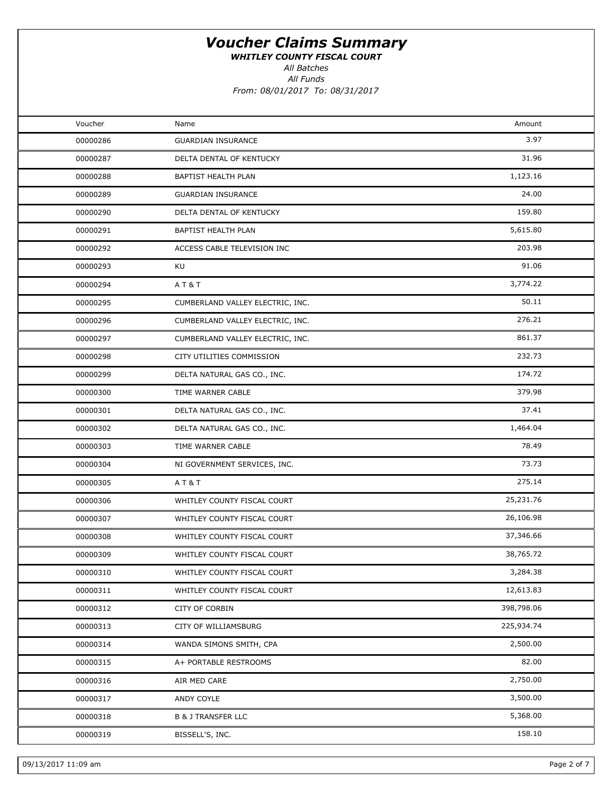WHITLEY COUNTY FISCAL COURT

All Batches

All Funds

From: 08/01/2017 To: 08/31/2017

| Voucher  | Name                             | Amount     |  |
|----------|----------------------------------|------------|--|
| 00000286 | <b>GUARDIAN INSURANCE</b>        | 3.97       |  |
| 00000287 | DELTA DENTAL OF KENTUCKY         | 31.96      |  |
| 00000288 | BAPTIST HEALTH PLAN              | 1,123.16   |  |
| 00000289 | <b>GUARDIAN INSURANCE</b>        | 24.00      |  |
| 00000290 | DELTA DENTAL OF KENTUCKY         | 159.80     |  |
| 00000291 | BAPTIST HEALTH PLAN              | 5,615.80   |  |
| 00000292 | ACCESS CABLE TELEVISION INC      | 203.98     |  |
| 00000293 | KU                               | 91.06      |  |
| 00000294 | AT&T                             | 3,774.22   |  |
| 00000295 | CUMBERLAND VALLEY ELECTRIC, INC. | 50.11      |  |
| 00000296 | CUMBERLAND VALLEY ELECTRIC, INC. | 276.21     |  |
| 00000297 | CUMBERLAND VALLEY ELECTRIC, INC. | 861.37     |  |
| 00000298 | CITY UTILITIES COMMISSION        | 232.73     |  |
| 00000299 | DELTA NATURAL GAS CO., INC.      | 174.72     |  |
| 00000300 | TIME WARNER CABLE                | 379.98     |  |
| 00000301 | DELTA NATURAL GAS CO., INC.      | 37.41      |  |
| 00000302 | DELTA NATURAL GAS CO., INC.      | 1,464.04   |  |
| 00000303 | TIME WARNER CABLE                | 78.49      |  |
| 00000304 | NI GOVERNMENT SERVICES, INC.     | 73.73      |  |
| 00000305 | A T & T                          | 275.14     |  |
| 00000306 | WHITLEY COUNTY FISCAL COURT      | 25,231.76  |  |
| 00000307 | WHITLEY COUNTY FISCAL COURT      | 26,106.98  |  |
| 00000308 | WHITLEY COUNTY FISCAL COURT      | 37,346.66  |  |
| 00000309 | WHITLEY COUNTY FISCAL COURT      | 38,765.72  |  |
| 00000310 | WHITLEY COUNTY FISCAL COURT      | 3,284.38   |  |
| 00000311 | WHITLEY COUNTY FISCAL COURT      | 12,613.83  |  |
| 00000312 | CITY OF CORBIN                   | 398,798.06 |  |
| 00000313 | CITY OF WILLIAMSBURG             | 225,934.74 |  |
| 00000314 | WANDA SIMONS SMITH, CPA          | 2,500.00   |  |
| 00000315 | A+ PORTABLE RESTROOMS            | 82.00      |  |
| 00000316 | AIR MED CARE                     | 2,750.00   |  |
| 00000317 | ANDY COYLE                       | 3,500.00   |  |
| 00000318 | <b>B &amp; J TRANSFER LLC</b>    | 5,368.00   |  |
| 00000319 | BISSELL'S, INC.                  | 158.10     |  |
|          |                                  |            |  |

09/13/2017 11:09 am Page 2 of 7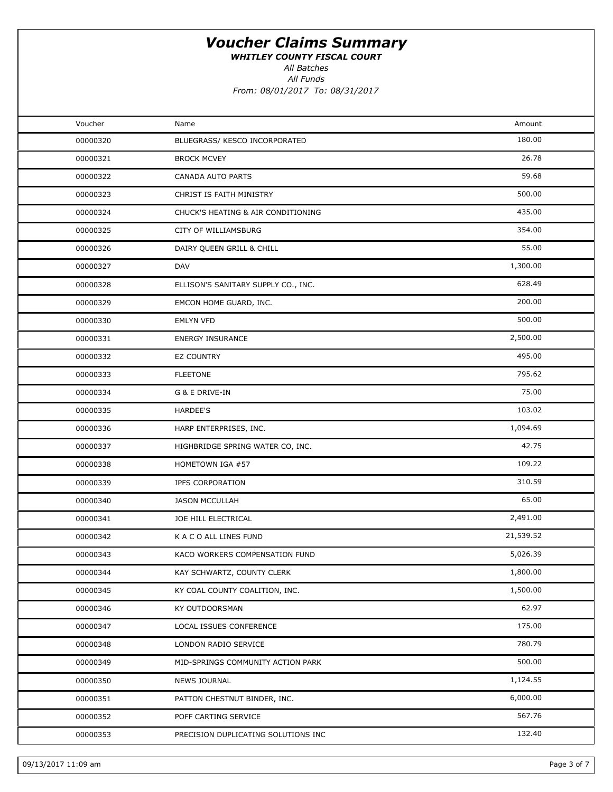WHITLEY COUNTY FISCAL COURT

All Batches

All Funds

| Voucher  | Name                                | Amount    |  |
|----------|-------------------------------------|-----------|--|
| 00000320 | BLUEGRASS/ KESCO INCORPORATED       | 180.00    |  |
| 00000321 | <b>BROCK MCVEY</b>                  | 26.78     |  |
| 00000322 | CANADA AUTO PARTS                   | 59.68     |  |
| 00000323 | CHRIST IS FAITH MINISTRY            | 500.00    |  |
| 00000324 | CHUCK'S HEATING & AIR CONDITIONING  | 435.00    |  |
| 00000325 | CITY OF WILLIAMSBURG                | 354.00    |  |
| 00000326 | DAIRY QUEEN GRILL & CHILL           | 55.00     |  |
| 00000327 | DAV                                 | 1,300.00  |  |
| 00000328 | ELLISON'S SANITARY SUPPLY CO., INC. | 628.49    |  |
| 00000329 | EMCON HOME GUARD, INC.              | 200.00    |  |
| 00000330 | <b>EMLYN VFD</b>                    | 500.00    |  |
| 00000331 | <b>ENERGY INSURANCE</b>             | 2,500.00  |  |
| 00000332 | <b>EZ COUNTRY</b>                   | 495.00    |  |
| 00000333 | <b>FLEETONE</b>                     | 795.62    |  |
| 00000334 | G & E DRIVE-IN                      | 75.00     |  |
| 00000335 | HARDEE'S                            | 103.02    |  |
| 00000336 | HARP ENTERPRISES, INC.              | 1,094.69  |  |
| 00000337 | HIGHBRIDGE SPRING WATER CO, INC.    | 42.75     |  |
| 00000338 | HOMETOWN IGA #57                    | 109.22    |  |
| 00000339 | <b>IPFS CORPORATION</b>             | 310.59    |  |
| 00000340 | <b>JASON MCCULLAH</b>               | 65.00     |  |
| 00000341 | JOE HILL ELECTRICAL                 | 2,491.00  |  |
| 00000342 | K A C O ALL LINES FUND              | 21,539.52 |  |
| 00000343 | KACO WORKERS COMPENSATION FUND      | 5,026.39  |  |
| 00000344 | KAY SCHWARTZ, COUNTY CLERK          | 1,800.00  |  |
| 00000345 | KY COAL COUNTY COALITION, INC.      | 1,500.00  |  |
| 00000346 | KY OUTDOORSMAN                      | 62.97     |  |
| 00000347 | LOCAL ISSUES CONFERENCE             | 175.00    |  |
| 00000348 | LONDON RADIO SERVICE                | 780.79    |  |
| 00000349 | MID-SPRINGS COMMUNITY ACTION PARK   | 500.00    |  |
| 00000350 | <b>NEWS JOURNAL</b>                 | 1,124.55  |  |
| 00000351 | PATTON CHESTNUT BINDER, INC.        | 6,000.00  |  |
| 00000352 | POFF CARTING SERVICE                | 567.76    |  |
| 00000353 | PRECISION DUPLICATING SOLUTIONS INC | 132.40    |  |
|          |                                     |           |  |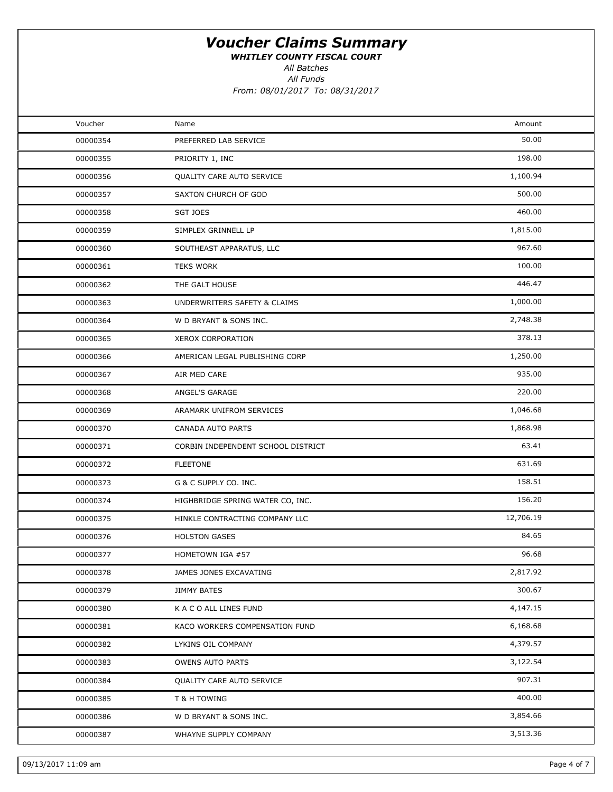WHITLEY COUNTY FISCAL COURT

All Batches

All Funds From: 08/01/2017 To: 08/31/2017

| Voucher  | Name                               | Amount    |  |
|----------|------------------------------------|-----------|--|
| 00000354 | PREFERRED LAB SERVICE              | 50.00     |  |
| 00000355 | PRIORITY 1, INC                    | 198.00    |  |
| 00000356 | QUALITY CARE AUTO SERVICE          | 1,100.94  |  |
| 00000357 | SAXTON CHURCH OF GOD               | 500.00    |  |
| 00000358 | SGT JOES                           | 460.00    |  |
| 00000359 | SIMPLEX GRINNELL LP                | 1,815.00  |  |
| 00000360 | SOUTHEAST APPARATUS, LLC           | 967.60    |  |
| 00000361 | <b>TEKS WORK</b>                   | 100.00    |  |
| 00000362 | THE GALT HOUSE                     | 446.47    |  |
| 00000363 | UNDERWRITERS SAFETY & CLAIMS       | 1,000.00  |  |
| 00000364 | W D BRYANT & SONS INC.             | 2,748.38  |  |
| 00000365 | <b>XEROX CORPORATION</b>           | 378.13    |  |
| 00000366 | AMERICAN LEGAL PUBLISHING CORP     | 1,250.00  |  |
| 00000367 | AIR MED CARE                       | 935.00    |  |
| 00000368 | ANGEL'S GARAGE                     | 220.00    |  |
| 00000369 | ARAMARK UNIFROM SERVICES           | 1,046.68  |  |
| 00000370 | CANADA AUTO PARTS                  | 1,868.98  |  |
| 00000371 | CORBIN INDEPENDENT SCHOOL DISTRICT | 63.41     |  |
| 00000372 | <b>FLEETONE</b>                    | 631.69    |  |
| 00000373 | G & C SUPPLY CO. INC.              | 158.51    |  |
| 00000374 | HIGHBRIDGE SPRING WATER CO, INC.   | 156.20    |  |
| 00000375 | HINKLE CONTRACTING COMPANY LLC     | 12,706.19 |  |
| 00000376 | <b>HOLSTON GASES</b>               | 84.65     |  |
| 00000377 | HOMETOWN IGA #57                   | 96.68     |  |
| 00000378 | JAMES JONES EXCAVATING             | 2,817.92  |  |
| 00000379 | JIMMY BATES                        | 300.67    |  |
| 00000380 | K A C O ALL LINES FUND             | 4,147.15  |  |
| 00000381 | KACO WORKERS COMPENSATION FUND     | 6,168.68  |  |
| 00000382 | LYKINS OIL COMPANY                 | 4,379.57  |  |
| 00000383 | OWENS AUTO PARTS                   | 3,122.54  |  |
| 00000384 | QUALITY CARE AUTO SERVICE          | 907.31    |  |
| 00000385 | T & H TOWING                       | 400.00    |  |
| 00000386 | W D BRYANT & SONS INC.             | 3,854.66  |  |
| 00000387 | WHAYNE SUPPLY COMPANY              | 3,513.36  |  |
|          |                                    |           |  |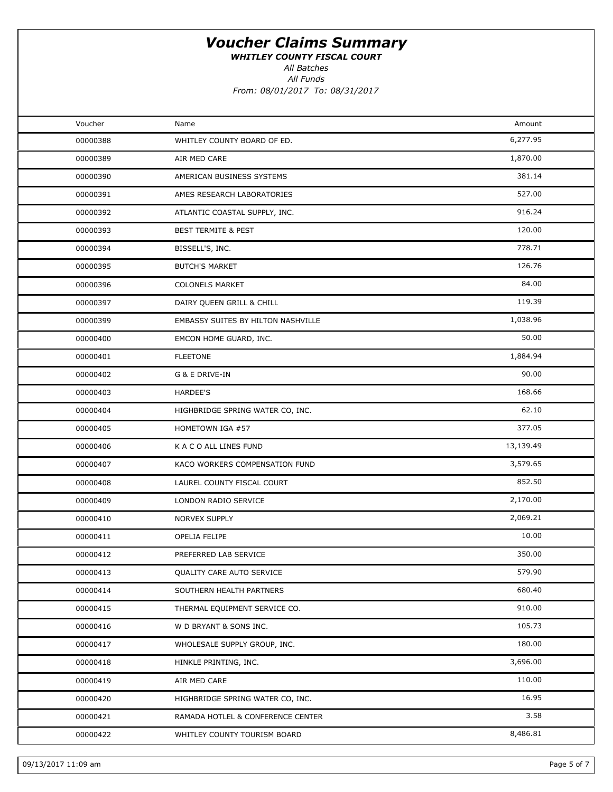WHITLEY COUNTY FISCAL COURT

All Batches

All Funds

| Voucher  | Name                               | Amount    |  |
|----------|------------------------------------|-----------|--|
| 00000388 | WHITLEY COUNTY BOARD OF ED.        | 6,277.95  |  |
| 00000389 | AIR MED CARE                       | 1,870.00  |  |
| 00000390 | AMERICAN BUSINESS SYSTEMS          | 381.14    |  |
| 00000391 | AMES RESEARCH LABORATORIES         | 527.00    |  |
| 00000392 | ATLANTIC COASTAL SUPPLY, INC.      | 916.24    |  |
| 00000393 | <b>BEST TERMITE &amp; PEST</b>     | 120.00    |  |
| 00000394 | BISSELL'S, INC.                    | 778.71    |  |
| 00000395 | <b>BUTCH'S MARKET</b>              | 126.76    |  |
| 00000396 | <b>COLONELS MARKET</b>             | 84.00     |  |
| 00000397 | DAIRY QUEEN GRILL & CHILL          | 119.39    |  |
| 00000399 | EMBASSY SUITES BY HILTON NASHVILLE | 1,038.96  |  |
| 00000400 | EMCON HOME GUARD, INC.             | 50.00     |  |
| 00000401 | <b>FLEETONE</b>                    | 1,884.94  |  |
| 00000402 | G & E DRIVE-IN                     | 90.00     |  |
| 00000403 | HARDEE'S                           | 168.66    |  |
| 00000404 | HIGHBRIDGE SPRING WATER CO, INC.   | 62.10     |  |
| 00000405 | HOMETOWN IGA #57                   | 377.05    |  |
| 00000406 | K A C O ALL LINES FUND             | 13,139.49 |  |
| 00000407 | KACO WORKERS COMPENSATION FUND     | 3,579.65  |  |
| 00000408 | LAUREL COUNTY FISCAL COURT         | 852.50    |  |
| 00000409 | LONDON RADIO SERVICE               | 2,170.00  |  |
| 00000410 | NORVEX SUPPLY                      | 2,069.21  |  |
| 00000411 | OPELIA FELIPE                      | 10.00     |  |
| 00000412 | PREFERRED LAB SERVICE              | 350.00    |  |
| 00000413 | QUALITY CARE AUTO SERVICE          | 579.90    |  |
| 00000414 | SOUTHERN HEALTH PARTNERS           | 680.40    |  |
| 00000415 | THERMAL EQUIPMENT SERVICE CO.      | 910.00    |  |
| 00000416 | W D BRYANT & SONS INC.             | 105.73    |  |
| 00000417 | WHOLESALE SUPPLY GROUP, INC.       | 180.00    |  |
| 00000418 | HINKLE PRINTING, INC.              | 3,696.00  |  |
| 00000419 | AIR MED CARE                       | 110.00    |  |
| 00000420 | HIGHBRIDGE SPRING WATER CO, INC.   | 16.95     |  |
| 00000421 | RAMADA HOTLEL & CONFERENCE CENTER  | 3.58      |  |
| 00000422 | WHITLEY COUNTY TOURISM BOARD       | 8,486.81  |  |
|          |                                    |           |  |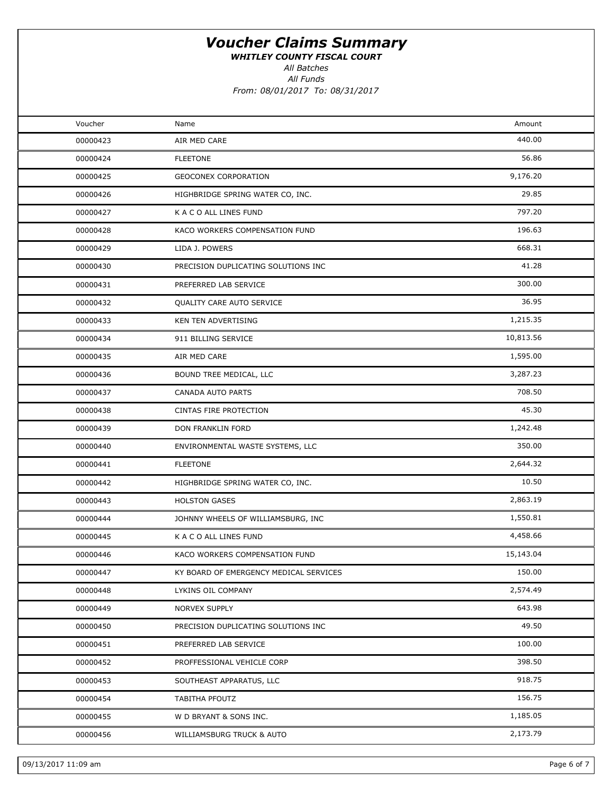WHITLEY COUNTY FISCAL COURT

All Batches

All Funds From: 08/01/2017 To: 08/31/2017

| Voucher<br>Amount<br>Name<br>440.00<br>00000423<br>AIR MED CARE<br>56.86<br>00000424<br><b>FLEETONE</b><br>9,176.20<br><b>GEOCONEX CORPORATION</b><br>00000425<br>29.85<br>00000426<br>HIGHBRIDGE SPRING WATER CO, INC.<br>797.20<br>K A C O ALL LINES FUND<br>00000427<br>196.63<br>00000428<br>KACO WORKERS COMPENSATION FUND<br>668.31<br>00000429<br>LIDA J. POWERS<br>41.28<br>00000430<br>PRECISION DUPLICATING SOLUTIONS INC<br>300.00<br>00000431<br>PREFERRED LAB SERVICE<br>36.95<br>00000432<br>QUALITY CARE AUTO SERVICE<br>1,215.35<br>00000433<br>KEN TEN ADVERTISING<br>10,813.56<br>00000434<br>911 BILLING SERVICE<br>1,595.00<br>00000435<br>AIR MED CARE<br>3,287.23<br>00000436<br>BOUND TREE MEDICAL, LLC<br>708.50<br>00000437<br>CANADA AUTO PARTS<br>45.30<br>00000438<br>CINTAS FIRE PROTECTION<br>1,242.48<br>00000439<br>DON FRANKLIN FORD<br>350.00<br>00000440<br>ENVIRONMENTAL WASTE SYSTEMS, LLC<br>2,644.32<br><b>FLEETONE</b><br>00000441<br>10.50<br>00000442<br>HIGHBRIDGE SPRING WATER CO, INC.<br>2,863.19<br><b>HOLSTON GASES</b><br>00000443<br>1,550.81<br>00000444<br>JOHNNY WHEELS OF WILLIAMSBURG, INC<br>4,458.66<br>00000445<br>K A C O ALL LINES FUND<br>15,143.04<br>00000446<br>KACO WORKERS COMPENSATION FUND<br>150.00<br>00000447<br>KY BOARD OF EMERGENCY MEDICAL SERVICES<br>2,574.49<br>00000448<br>LYKINS OIL COMPANY<br>643.98<br>00000449<br>NORVEX SUPPLY<br>49.50<br>00000450<br>PRECISION DUPLICATING SOLUTIONS INC<br>100.00<br>00000451<br>PREFERRED LAB SERVICE<br>398.50<br>00000452<br>PROFFESSIONAL VEHICLE CORP<br>918.75<br>00000453<br>SOUTHEAST APPARATUS, LLC<br>156.75<br>00000454<br>TABITHA PFOUTZ<br>1,185.05<br>00000455<br>W D BRYANT & SONS INC.<br>2,173.79<br>00000456<br>WILLIAMSBURG TRUCK & AUTO |  |  |
|-------------------------------------------------------------------------------------------------------------------------------------------------------------------------------------------------------------------------------------------------------------------------------------------------------------------------------------------------------------------------------------------------------------------------------------------------------------------------------------------------------------------------------------------------------------------------------------------------------------------------------------------------------------------------------------------------------------------------------------------------------------------------------------------------------------------------------------------------------------------------------------------------------------------------------------------------------------------------------------------------------------------------------------------------------------------------------------------------------------------------------------------------------------------------------------------------------------------------------------------------------------------------------------------------------------------------------------------------------------------------------------------------------------------------------------------------------------------------------------------------------------------------------------------------------------------------------------------------------------------------------------------------------------------------------------------------------------------------------------------------------------------------------------|--|--|
|                                                                                                                                                                                                                                                                                                                                                                                                                                                                                                                                                                                                                                                                                                                                                                                                                                                                                                                                                                                                                                                                                                                                                                                                                                                                                                                                                                                                                                                                                                                                                                                                                                                                                                                                                                                     |  |  |
|                                                                                                                                                                                                                                                                                                                                                                                                                                                                                                                                                                                                                                                                                                                                                                                                                                                                                                                                                                                                                                                                                                                                                                                                                                                                                                                                                                                                                                                                                                                                                                                                                                                                                                                                                                                     |  |  |
|                                                                                                                                                                                                                                                                                                                                                                                                                                                                                                                                                                                                                                                                                                                                                                                                                                                                                                                                                                                                                                                                                                                                                                                                                                                                                                                                                                                                                                                                                                                                                                                                                                                                                                                                                                                     |  |  |
|                                                                                                                                                                                                                                                                                                                                                                                                                                                                                                                                                                                                                                                                                                                                                                                                                                                                                                                                                                                                                                                                                                                                                                                                                                                                                                                                                                                                                                                                                                                                                                                                                                                                                                                                                                                     |  |  |
|                                                                                                                                                                                                                                                                                                                                                                                                                                                                                                                                                                                                                                                                                                                                                                                                                                                                                                                                                                                                                                                                                                                                                                                                                                                                                                                                                                                                                                                                                                                                                                                                                                                                                                                                                                                     |  |  |
|                                                                                                                                                                                                                                                                                                                                                                                                                                                                                                                                                                                                                                                                                                                                                                                                                                                                                                                                                                                                                                                                                                                                                                                                                                                                                                                                                                                                                                                                                                                                                                                                                                                                                                                                                                                     |  |  |
|                                                                                                                                                                                                                                                                                                                                                                                                                                                                                                                                                                                                                                                                                                                                                                                                                                                                                                                                                                                                                                                                                                                                                                                                                                                                                                                                                                                                                                                                                                                                                                                                                                                                                                                                                                                     |  |  |
|                                                                                                                                                                                                                                                                                                                                                                                                                                                                                                                                                                                                                                                                                                                                                                                                                                                                                                                                                                                                                                                                                                                                                                                                                                                                                                                                                                                                                                                                                                                                                                                                                                                                                                                                                                                     |  |  |
|                                                                                                                                                                                                                                                                                                                                                                                                                                                                                                                                                                                                                                                                                                                                                                                                                                                                                                                                                                                                                                                                                                                                                                                                                                                                                                                                                                                                                                                                                                                                                                                                                                                                                                                                                                                     |  |  |
|                                                                                                                                                                                                                                                                                                                                                                                                                                                                                                                                                                                                                                                                                                                                                                                                                                                                                                                                                                                                                                                                                                                                                                                                                                                                                                                                                                                                                                                                                                                                                                                                                                                                                                                                                                                     |  |  |
|                                                                                                                                                                                                                                                                                                                                                                                                                                                                                                                                                                                                                                                                                                                                                                                                                                                                                                                                                                                                                                                                                                                                                                                                                                                                                                                                                                                                                                                                                                                                                                                                                                                                                                                                                                                     |  |  |
|                                                                                                                                                                                                                                                                                                                                                                                                                                                                                                                                                                                                                                                                                                                                                                                                                                                                                                                                                                                                                                                                                                                                                                                                                                                                                                                                                                                                                                                                                                                                                                                                                                                                                                                                                                                     |  |  |
|                                                                                                                                                                                                                                                                                                                                                                                                                                                                                                                                                                                                                                                                                                                                                                                                                                                                                                                                                                                                                                                                                                                                                                                                                                                                                                                                                                                                                                                                                                                                                                                                                                                                                                                                                                                     |  |  |
|                                                                                                                                                                                                                                                                                                                                                                                                                                                                                                                                                                                                                                                                                                                                                                                                                                                                                                                                                                                                                                                                                                                                                                                                                                                                                                                                                                                                                                                                                                                                                                                                                                                                                                                                                                                     |  |  |
|                                                                                                                                                                                                                                                                                                                                                                                                                                                                                                                                                                                                                                                                                                                                                                                                                                                                                                                                                                                                                                                                                                                                                                                                                                                                                                                                                                                                                                                                                                                                                                                                                                                                                                                                                                                     |  |  |
|                                                                                                                                                                                                                                                                                                                                                                                                                                                                                                                                                                                                                                                                                                                                                                                                                                                                                                                                                                                                                                                                                                                                                                                                                                                                                                                                                                                                                                                                                                                                                                                                                                                                                                                                                                                     |  |  |
|                                                                                                                                                                                                                                                                                                                                                                                                                                                                                                                                                                                                                                                                                                                                                                                                                                                                                                                                                                                                                                                                                                                                                                                                                                                                                                                                                                                                                                                                                                                                                                                                                                                                                                                                                                                     |  |  |
|                                                                                                                                                                                                                                                                                                                                                                                                                                                                                                                                                                                                                                                                                                                                                                                                                                                                                                                                                                                                                                                                                                                                                                                                                                                                                                                                                                                                                                                                                                                                                                                                                                                                                                                                                                                     |  |  |
|                                                                                                                                                                                                                                                                                                                                                                                                                                                                                                                                                                                                                                                                                                                                                                                                                                                                                                                                                                                                                                                                                                                                                                                                                                                                                                                                                                                                                                                                                                                                                                                                                                                                                                                                                                                     |  |  |
|                                                                                                                                                                                                                                                                                                                                                                                                                                                                                                                                                                                                                                                                                                                                                                                                                                                                                                                                                                                                                                                                                                                                                                                                                                                                                                                                                                                                                                                                                                                                                                                                                                                                                                                                                                                     |  |  |
|                                                                                                                                                                                                                                                                                                                                                                                                                                                                                                                                                                                                                                                                                                                                                                                                                                                                                                                                                                                                                                                                                                                                                                                                                                                                                                                                                                                                                                                                                                                                                                                                                                                                                                                                                                                     |  |  |
|                                                                                                                                                                                                                                                                                                                                                                                                                                                                                                                                                                                                                                                                                                                                                                                                                                                                                                                                                                                                                                                                                                                                                                                                                                                                                                                                                                                                                                                                                                                                                                                                                                                                                                                                                                                     |  |  |
|                                                                                                                                                                                                                                                                                                                                                                                                                                                                                                                                                                                                                                                                                                                                                                                                                                                                                                                                                                                                                                                                                                                                                                                                                                                                                                                                                                                                                                                                                                                                                                                                                                                                                                                                                                                     |  |  |
|                                                                                                                                                                                                                                                                                                                                                                                                                                                                                                                                                                                                                                                                                                                                                                                                                                                                                                                                                                                                                                                                                                                                                                                                                                                                                                                                                                                                                                                                                                                                                                                                                                                                                                                                                                                     |  |  |
|                                                                                                                                                                                                                                                                                                                                                                                                                                                                                                                                                                                                                                                                                                                                                                                                                                                                                                                                                                                                                                                                                                                                                                                                                                                                                                                                                                                                                                                                                                                                                                                                                                                                                                                                                                                     |  |  |
|                                                                                                                                                                                                                                                                                                                                                                                                                                                                                                                                                                                                                                                                                                                                                                                                                                                                                                                                                                                                                                                                                                                                                                                                                                                                                                                                                                                                                                                                                                                                                                                                                                                                                                                                                                                     |  |  |
|                                                                                                                                                                                                                                                                                                                                                                                                                                                                                                                                                                                                                                                                                                                                                                                                                                                                                                                                                                                                                                                                                                                                                                                                                                                                                                                                                                                                                                                                                                                                                                                                                                                                                                                                                                                     |  |  |
|                                                                                                                                                                                                                                                                                                                                                                                                                                                                                                                                                                                                                                                                                                                                                                                                                                                                                                                                                                                                                                                                                                                                                                                                                                                                                                                                                                                                                                                                                                                                                                                                                                                                                                                                                                                     |  |  |
|                                                                                                                                                                                                                                                                                                                                                                                                                                                                                                                                                                                                                                                                                                                                                                                                                                                                                                                                                                                                                                                                                                                                                                                                                                                                                                                                                                                                                                                                                                                                                                                                                                                                                                                                                                                     |  |  |
|                                                                                                                                                                                                                                                                                                                                                                                                                                                                                                                                                                                                                                                                                                                                                                                                                                                                                                                                                                                                                                                                                                                                                                                                                                                                                                                                                                                                                                                                                                                                                                                                                                                                                                                                                                                     |  |  |
|                                                                                                                                                                                                                                                                                                                                                                                                                                                                                                                                                                                                                                                                                                                                                                                                                                                                                                                                                                                                                                                                                                                                                                                                                                                                                                                                                                                                                                                                                                                                                                                                                                                                                                                                                                                     |  |  |
|                                                                                                                                                                                                                                                                                                                                                                                                                                                                                                                                                                                                                                                                                                                                                                                                                                                                                                                                                                                                                                                                                                                                                                                                                                                                                                                                                                                                                                                                                                                                                                                                                                                                                                                                                                                     |  |  |
|                                                                                                                                                                                                                                                                                                                                                                                                                                                                                                                                                                                                                                                                                                                                                                                                                                                                                                                                                                                                                                                                                                                                                                                                                                                                                                                                                                                                                                                                                                                                                                                                                                                                                                                                                                                     |  |  |
|                                                                                                                                                                                                                                                                                                                                                                                                                                                                                                                                                                                                                                                                                                                                                                                                                                                                                                                                                                                                                                                                                                                                                                                                                                                                                                                                                                                                                                                                                                                                                                                                                                                                                                                                                                                     |  |  |
|                                                                                                                                                                                                                                                                                                                                                                                                                                                                                                                                                                                                                                                                                                                                                                                                                                                                                                                                                                                                                                                                                                                                                                                                                                                                                                                                                                                                                                                                                                                                                                                                                                                                                                                                                                                     |  |  |